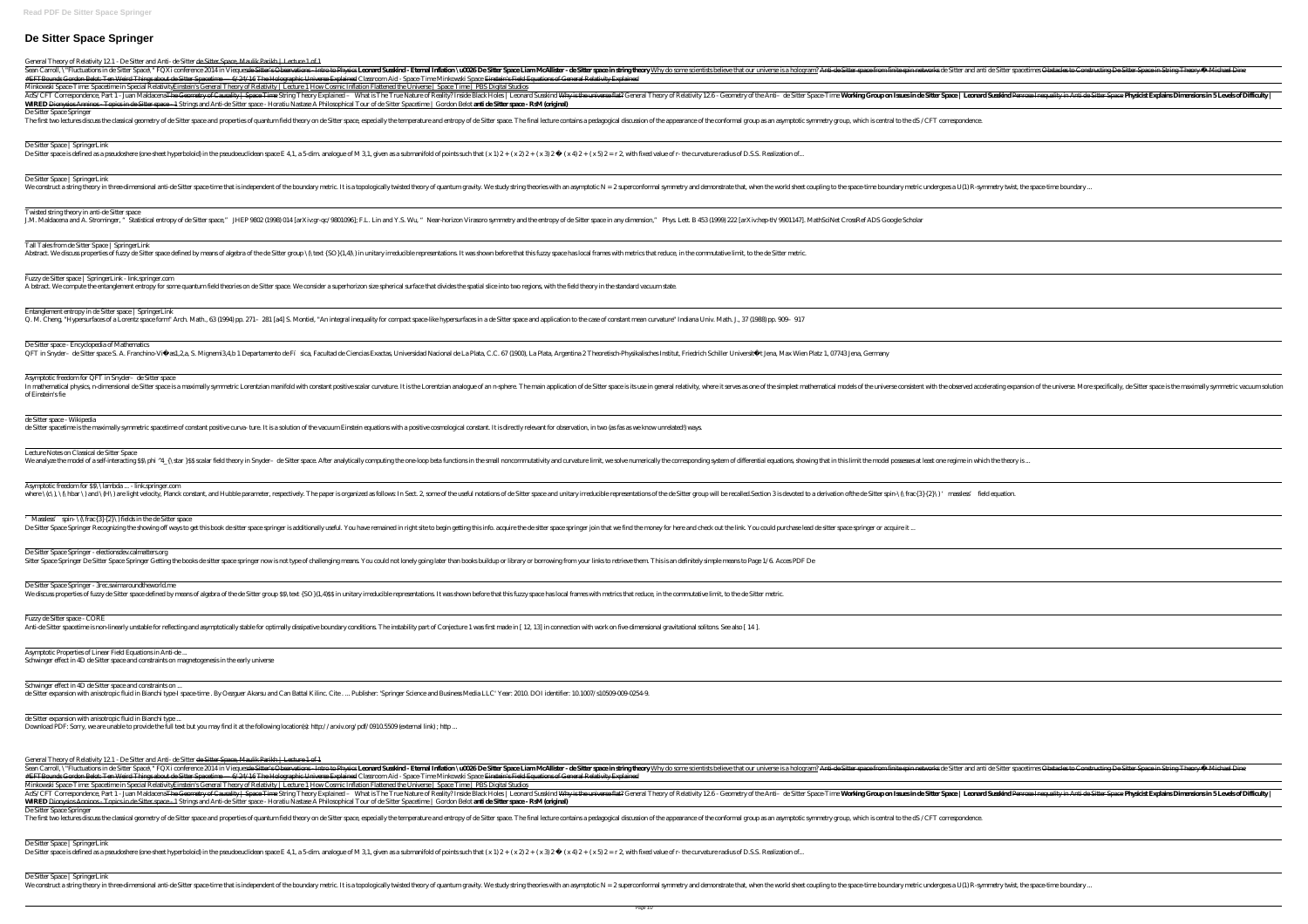# **De Sitter Space Springer**

General Theory of Relativity 12.1 - De Sitter and Anti- de Sitter de Sitter Space, Maulik Parikh | Lecture 1 of 1

Sean Carroll, \"Fluctuations in de Sitter Space\" FQXi conference 2014 in Viequesde Sitter's Observations—Intro to Physies **Leonal Suskind - Eternal Inflation \uCQSDe Sitter Space Inan McAllister - de Sitter space instring** #EFTBounds Gordon Belot: Ten Weird Things about de Sitter Spacetime — 6/24/16 The Holographic Universe Explained Classroom Aid - Space-Time Minkowski Space <del>Einstein's Field Equations of General Relativity Explained</del> Minkowski Space-Time: Spacetime in Special Relativit<u>yEinstein's General Theory of Relativity | Lecture 1 How Cosmic Inflation Flattened the Universe | Space Time | PBS Digital Studios</u> AdS/CFT Correspondence, Part 1 - Juan Maldacena<del>The Geometry of Causality | Space Time</del> String Theory Explained - What is The True Nature of Reality?Inside Black Holes | Leonard Susskind <del>Why is the universe flat?</del> General **WIRED** Dionysios Anninos - Topics in de Sitter space - 1 Strings and Anti-de Sitter space - Horatiu Nastase A Philosophical Tour of de Sitter Spacetime | Gordon Belot **anti de Sitter space - RsM (original)** De Sitter Space Springer

The first two lectures discuss the classical geometry of de Sitter space and properties of quantum field theory on de Sitter space, especially the temperature and entropy of de Sitter space. The final lecture contains a pe

Fuzzy de Sitter space | SpringerLink - link.springer.com A bstract. We compute the entanglement entropy for some quantum field theories on de Sitter space. We consider a superhorizon size spherical surface that divides the spatial slice into two regions, with the field theory in

#### De Sitter Space | SpringerLink

De Sitter space is defined as a pseudoshere (one sheet hyperboloid) in the pseudoeuclidean space E 4.1, a 5-dim analogue of M 3.1, given as a submanifold of points such that  $(x 1) 2 + (x 2) 2 + (x 3) 2 - (x 4) 2 + (x 5) 2 = r2$  wit

#### De Sitter Space | SpringerLink

We construct a string theory in three dimensional anti-de Sitter space time that is independent of the boundary metric. It is a topologically twisted theory of quantum gravity. We study string theories with an asymptotic N

In mathematical physics, n-dimensional de Sitter space is a maximally symmetric Lorentzian manifold with constant positive scalar curvature. It is the Lorentzian analogue of an n-sphere. The main application of de Sitter s of Einstein's fie

### Twisted string theory in anti-de Sitter space

J.M. Maldacena and A. Strominger, "Statistical entropy of de Sitter space," JHEP 9802 (1998) 014 [arXiv.gr-qc/9801096]; F.L. Lin and Y.S. Wu, "Near-horizon Virasoro symmetry and the entropy of de Sitter space in any dimens

Asymptotic freedom for \$\$\\lambda ... - link.springer.com where  $\set{\mathbb{C}}$ ,  $\set{\mathbb{C}}$  and  $\set{\mathbb{H}}$  are light velocity, Planck constant, and Hubble parameter, respectively. The paper is organized as follows In Sect. 2, some of the useful notations of de Sitter space and unitar

Massless' spin- $\{\hat{3}\{2\}\}\$  fields in the de Sitter space De Sitter Space Springer Recognizing the showing off ways to get this book de sitter space springer is additionally useful. You have remained in right site to begin getting this info. acquire the de sitter space springer j

#### De Sitter Space Springer - electionsdev.calmatters.org

Sitter Space Springer De Sitter Space Springer Getting the books de sitter space springer now is not type of challenging means. You could not lonely going later than books buildup or library or borrowing from your links to

Tall Tales from de Sitter Space | SpringerLink

Abstract. We discuss properties of fuzzy de Sitter space defined by means of algebra of the de Sitter group \(\text {SO} (1,4)\) in unitary irreducible representations. It was shown before that this fuzzy space has local f

#### Entanglement entropy in de Sitter space | SpringerLink

Q. M. Cheng, "Hypersurfaces of a Lorentz space form" Arch. Math., 63 (1994) pp. 271- 281 [a4] S. Montiel, "An integral inequality for compact space like hypersurfaces in a de Sitter space and application to the case of con

# De Sitter space - Encyclopedia of Mathematics

QFT in Snyder- de Sitter space S. A. Franchino Viñ as1,2a, S. Migneni34b 1 Departamento de Fí sica, Facultad de Ciencias Exactas, Universidad Nacional de La Plata, C.C. 67 (1900), La Plata, Argentina 2 Theoretisch-Physikal

#### Asymptotic freedom for QFT in Snyder–de Sitter space

Sean Carroll, \"Fluctuations in de Sitter Space\" FQXi conference 2014 in Vieques<del>de Sitter's Observations - Intro to Physi</del>es **Leonal Sustant - Eternal Inflation \uCGSDe Sitter space in string theory Why do some scientist** #EFTBounds Gordon Belot: Ten Weird Things about de Sitter Spacetime — 6/24/16 The Holographic Universe Explained Classroom Aid - Space-Time Minkowski Space <del>Einstein's Field Equations of General Relativity Explained</del> Minkowski Space-Time: Spacetime in Special Relativit<u>yEinstein's General Theory of Relativity | Lecture 1 How Cosmic Inflation Flattened the Universe | Space Time | PBS Digital Studios</u> AdS/CFT Correspondence, Part 1 - Juan Maldacena<del>The Geometry of Causality | Space Time</del> String Theory Explained - What is The True Nature of Reality?Inside Black Holes | Leonard Susskind <del>Why is the universe flat?</del> General **WIRED** Dionysios Anninos - Topics in de Sitter space - 1 Strings and Anti-de Sitter space - Horatiu Nastase A Philosophical Tour of de Sitter Spacetime | Gordon Belot **anti de Sitter space - RsM (original)** De Sitter Space Springer

The first two lectures discuss the classical geometry of de Sitter space and properties of quantum field theory on de Sitter space, especially the temperature and entropy of de Sitter space. The final lecture contains a pe

#### de Sitter space - Wikipedia

de Sitter spacetime is the maximally symmetric spacetime of constant positive curva- ture. It is a solution of the vacuum Einstein equations with a positive cosmological constant. It is directly relevant for observation, i

#### Lecture Notes on Classical de Sitter Space

We analyze the model of a self-interacting SS\phi ^4\_{\star}SS scalar field theory in Snyder- de Sitter space. After analytically computing the one-loop beta functions in the small noncommutativity and curvature limit, we

#### De Sitter Space Springer - 3rec.swimaroundtheworld.me

We discuss properties of fuzzy de Sitter space defined by means of algebra of the de Sitter group \$\$\text {SO} (1,4)\$\$ in unitary irreducible representations. It was shown before that this fuzzy space has local frames with

#### Fuzzy de Sitter space - CORE

Anti-de Sitter spacetime is non-linearly unstable for reflecting and asymptotically stable for optimally dissipative boundary conditions. The instability part of Conjecture 1 was first made in [12, 13] in connection with w

Asymptotic Properties of Linear Field Equations in Anti-de ... Schwinger effect in 4D de Sitter space and constraints on magnetogenesis in the early universe

Schwinger effect in 4D de Sitter space and constraints on ...

de Sitter expansion with anisotropic fluid in Bianchi type I space time. By Oezguer Akarsu and Can Battal Kilinc. Cite. ... Publisher: 'Springer Science and Business Media LLC' Year: 2010 DOI identifier: 10 1007/s10509-009

de Sitter expansion with anisotropic fluid in Bianchi type ...

Download PDF: Sorry, we are unable to provide the full text but you may find it at the following location(s): http://arxiv.org/pdf/0910.5509 (external link) ; http ..

General Theory of Relativity 12.1 - De Sitter and Anti- de Sitter de Sitter Space, Maulik Parikh | Lecture 1 of 1

#### De Sitter Space | SpringerLink

De Sitter space is defined as a pseudoshere (one sheet hyperboloid) in the pseudoeuclidean space E 4.1, a 5-dim analogue of M 3.1, given as a submanifold of points such that  $(x 1) 2 + (x 2) 2 + (x 3) 2 - (x 4) 2 + (x 5) 2 = r 2$  wi

De Sitter Space | SpringerLink

We construct a string theory in three-dimensional anti-de Sitter space-time that is independent of the boundary metric. It is a topologically twisted theory of quantum gravity. We study string theories with an asymptotic

| i de Sitter spacetimes <del>Obstacles to Constructing De Sitter Space in String Theory — Michael Din</del> e                      |
|-----------------------------------------------------------------------------------------------------------------------------------|
| d <mark>Susdaind</mark> Penrese Incquality in Anti-de Sitter Space <b>Physicist Explains Dimensions in 5 Levels of Difficulty</b> |
|                                                                                                                                   |
|                                                                                                                                   |
|                                                                                                                                   |
|                                                                                                                                   |
| mmetry twist, the space-time boundary                                                                                             |
|                                                                                                                                   |
|                                                                                                                                   |
|                                                                                                                                   |
|                                                                                                                                   |
|                                                                                                                                   |
|                                                                                                                                   |
|                                                                                                                                   |
|                                                                                                                                   |
|                                                                                                                                   |
| derating expansion of the universe. More specifically, de Sitter space is the maximally symmetric vacuum solution                 |
|                                                                                                                                   |
|                                                                                                                                   |
| ch the theory is                                                                                                                  |
|                                                                                                                                   |
| ld equation.                                                                                                                      |
|                                                                                                                                   |
|                                                                                                                                   |
|                                                                                                                                   |
|                                                                                                                                   |
|                                                                                                                                   |
|                                                                                                                                   |
|                                                                                                                                   |
|                                                                                                                                   |
|                                                                                                                                   |
|                                                                                                                                   |
|                                                                                                                                   |
|                                                                                                                                   |
|                                                                                                                                   |
| i de Sitter spacetimes <del>Obstacles to Constructing De Sitter Space in String Theory — Michael Dine</del>                       |
| $d$ Susskind Penrese Inequality in Anti-de-Sitter Space <b>Physicist Explains Dimensions in 5 Levels of Difficulty</b> $\vert$    |
|                                                                                                                                   |
|                                                                                                                                   |